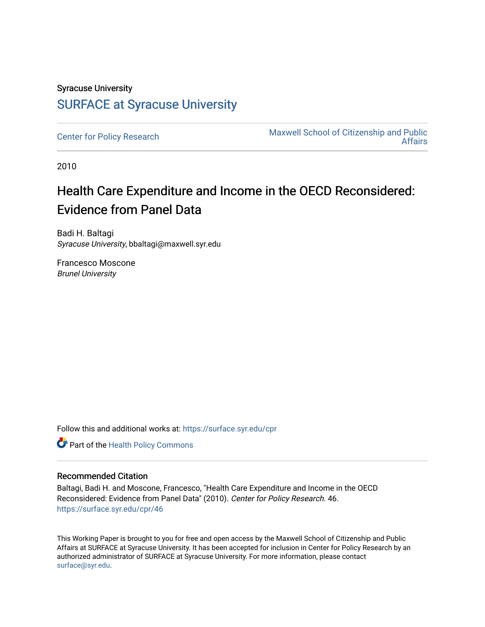# Syracuse University [SURFACE at Syracuse University](https://surface.syr.edu/)

[Center for Policy Research](https://surface.syr.edu/cpr) Maxwell School of Citizenship and Public [Affairs](https://surface.syr.edu/maxwell) 

2010

# Health Care Expenditure and Income in the OECD Reconsidered: Evidence from Panel Data

Badi H. Baltagi Syracuse University, bbaltagi@maxwell.syr.edu

Francesco Moscone Brunel University

Follow this and additional works at: [https://surface.syr.edu/cpr](https://surface.syr.edu/cpr?utm_source=surface.syr.edu%2Fcpr%2F46&utm_medium=PDF&utm_campaign=PDFCoverPages) 

Part of the [Health Policy Commons](http://network.bepress.com/hgg/discipline/395?utm_source=surface.syr.edu%2Fcpr%2F46&utm_medium=PDF&utm_campaign=PDFCoverPages)

## Recommended Citation

Baltagi, Badi H. and Moscone, Francesco, "Health Care Expenditure and Income in the OECD Reconsidered: Evidence from Panel Data" (2010). Center for Policy Research. 46. [https://surface.syr.edu/cpr/46](https://surface.syr.edu/cpr/46?utm_source=surface.syr.edu%2Fcpr%2F46&utm_medium=PDF&utm_campaign=PDFCoverPages) 

This Working Paper is brought to you for free and open access by the Maxwell School of Citizenship and Public Affairs at SURFACE at Syracuse University. It has been accepted for inclusion in Center for Policy Research by an authorized administrator of SURFACE at Syracuse University. For more information, please contact [surface@syr.edu.](mailto:surface@syr.edu)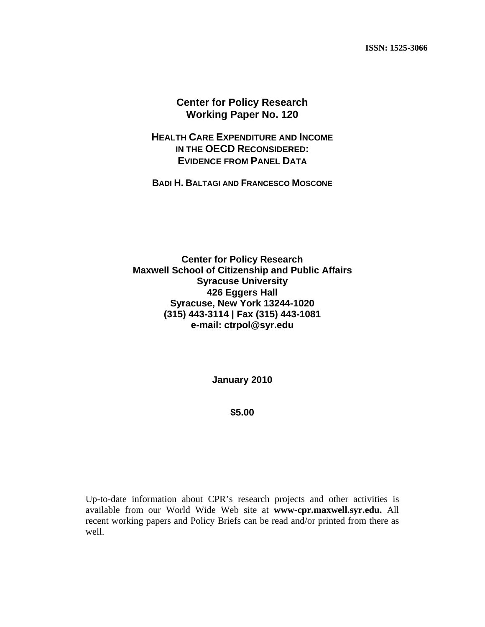**ISSN: 1525-3066** 

**Center for Policy Research Working Paper No. 120**

**HEALTH CARE EXPENDITURE AND INCOME IN THE OECD RECONSIDERED: EVIDENCE FROM PANEL DATA**

**BADI H. BALTAGI AND FRANCESCO MOSCONE**

**Center for Policy Research Maxwell School of Citizenship and Public Affairs Syracuse University 426 Eggers Hall Syracuse, New York 13244-1020 (315) 443-3114 | Fax (315) 443-1081 e-mail: ctrpol@syr.edu** 

**January 2010** 

**\$5.00** 

Up-to-date information about CPR's research projects and other activities is available from our World Wide Web site at **www-cpr.maxwell.syr.edu.** All recent working papers and Policy Briefs can be read and/or printed from there as well.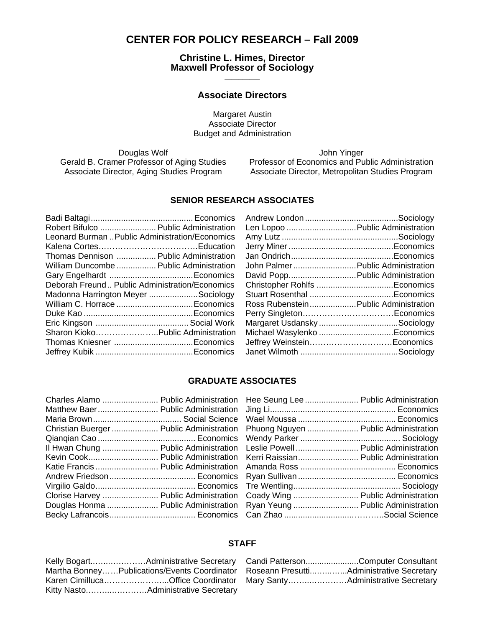# **CENTER FOR POLICY RESEARCH – Fall 2009**

**Christine L. Himes, Director Maxwell Professor of Sociology** 

# **Associate Directors**

Margaret Austin Associate Director Budget and Administration

Douglas Wolf **Contract Contract Contract Contract Contract Contract Contract Contract Contract Contract Contract Contract Contract Contract Contract Contract Contract Contract Contract Contract Contract Contract Contract C** 

Gerald B. Cramer Professor of Aging Studies Professor of Economics and Public Administration Associate Director, Aging Studies Program Associate Director, Metropolitan Studies Program

## **SENIOR RESEARCH ASSOCIATES**

| Robert Bifulco  Public Administration           |  |
|-------------------------------------------------|--|
| Leonard Burman  Public Administration/Economics |  |
|                                                 |  |
| Thomas Dennison  Public Administration          |  |
| William Duncombe  Public Administration         |  |
|                                                 |  |
| Deborah Freund Public Administration/Economics  |  |
| Madonna Harrington Meyer Sociology              |  |
| William C. Horrace Economics                    |  |
|                                                 |  |
|                                                 |  |
| Sharon Kioko Public Administration              |  |
|                                                 |  |
|                                                 |  |

| Len Lopoo  Public Administration      |
|---------------------------------------|
|                                       |
|                                       |
|                                       |
| John Palmer Public Administration     |
| David Popp Public Administration      |
| Christopher Rohlfs Economics          |
|                                       |
| Ross Rubenstein Public Administration |
|                                       |
| Margaret Usdansky Sociology           |
| Michael Wasylenko  Economics          |
| Jeffrey WeinsteinEconomics            |
|                                       |
|                                       |

# **GRADUATE ASSOCIATES**

| Charles Alamo  Public Administration     |  |
|------------------------------------------|--|
| Matthew Baer Public Administration       |  |
|                                          |  |
| Christian Buerger  Public Administration |  |
|                                          |  |
| Il Hwan Chung  Public Administration     |  |
| Kevin Cook Public Administration         |  |
| Katie Francis  Public Administration     |  |
|                                          |  |
|                                          |  |
| Clorise Harvey  Public Administration    |  |
| Douglas Honma  Public Administration     |  |
|                                          |  |
|                                          |  |

| Hee Seung Lee  Public Administration |
|--------------------------------------|
|                                      |
|                                      |
| Phuong Nguyen  Public Administration |
|                                      |
| Leslie Powell  Public Administration |
| Kerri Raissian Public Administration |
|                                      |
|                                      |
|                                      |
| Coady Wing  Public Administration    |
| Ryan Yeung  Public Administration    |
|                                      |

### **STAFF**

| Martha BonneyPublications/Events Coordinator |
|----------------------------------------------|
| Karen CimillucaOffice Coordinator            |
|                                              |

|    | y Candi PattersonComputer Consultant        |
|----|---------------------------------------------|
|    | or Roseann PresuttiAdministrative Secretary |
|    | or Mary SantyAdministrative Secretary       |
| 77 |                                             |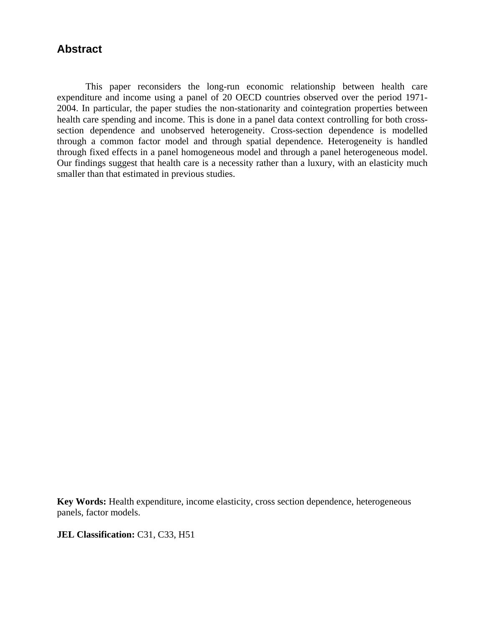# **Abstract**

 This paper reconsiders the long-run economic relationship between health care expenditure and income using a panel of 20 OECD countries observed over the period 1971- 2004. In particular, the paper studies the non-stationarity and cointegration properties between health care spending and income. This is done in a panel data context controlling for both crosssection dependence and unobserved heterogeneity. Cross-section dependence is modelled through a common factor model and through spatial dependence. Heterogeneity is handled through fixed effects in a panel homogeneous model and through a panel heterogeneous model. Our findings suggest that health care is a necessity rather than a luxury, with an elasticity much smaller than that estimated in previous studies.

**Key Words:** Health expenditure, income elasticity, cross section dependence, heterogeneous panels, factor models.

**JEL Classification:** C31, C33, H51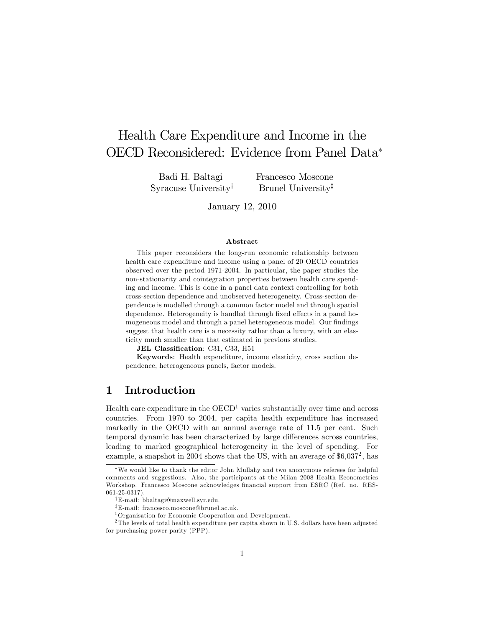# Health Care Expenditure and Income in the OECD Reconsidered: Evidence from Panel Data

Badi H. Baltagi Syracuse University<sup>†</sup> Francesco Moscone Brunel University<sup>‡</sup>

January 12, 2010

#### Abstract

This paper reconsiders the long-run economic relationship between health care expenditure and income using a panel of 20 OECD countries observed over the period 1971-2004. In particular, the paper studies the non-stationarity and cointegration properties between health care spending and income. This is done in a panel data context controlling for both cross-section dependence and unobserved heterogeneity. Cross-section dependence is modelled through a common factor model and through spatial dependence. Heterogeneity is handled through fixed effects in a panel homogeneous model and through a panel heterogeneous model. Our findings suggest that health care is a necessity rather than a luxury, with an elasticity much smaller than that estimated in previous studies.

JEL Classification: C31, C33, H51

Keywords: Health expenditure, income elasticity, cross section dependence, heterogeneous panels, factor models.

# 1 Introduction

Health care expenditure in the  $OECD<sup>1</sup>$  varies substantially over time and across countries. From 1970 to 2004, per capita health expenditure has increased markedly in the OECD with an annual average rate of 11.5 per cent. Such temporal dynamic has been characterized by large differences across countries, leading to marked geographical heterogeneity in the level of spending. For example, a snapshot in 2004 shows that the US, with an average of \$6,037<sup>2</sup>, has

We would like to thank the editor John Mullahy and two anonymous referees for helpful comments and suggestions. Also, the participants at the Milan 2008 Health Econometrics Workshop. Francesco Moscone acknowledges financial support from ESRC (Ref. no. RES-061-25-0317).

yE-mail: bbaltagi@maxwell.syr.edu.

zE-mail: francesco.moscone@brunel.ac.uk.

<sup>&</sup>lt;sup>1</sup>Organisation for Economic Cooperation and Development.

<sup>&</sup>lt;sup>2</sup>The levels of total health expenditure per capita shown in U.S. dollars have been adjusted for purchasing power parity (PPP).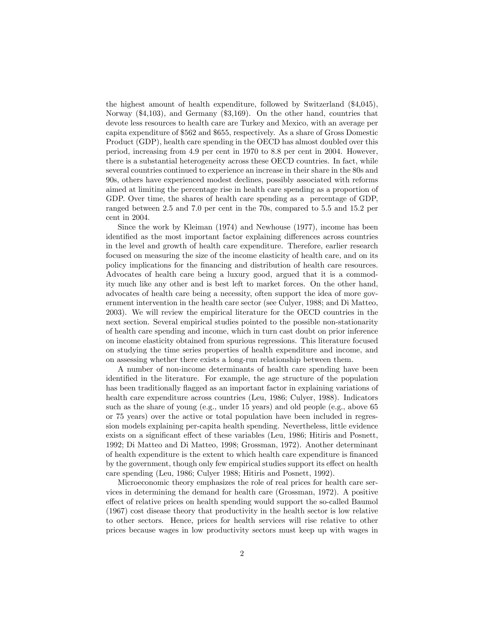the highest amount of health expenditure, followed by Switzerland (\$4,045), Norway (\$4,103), and Germany (\$3,169). On the other hand, countries that devote less resources to health care are Turkey and Mexico, with an average per capita expenditure of \$562 and \$655, respectively. As a share of Gross Domestic Product (GDP), health care spending in the OECD has almost doubled over this period, increasing from 4.9 per cent in 1970 to 8.8 per cent in 2004. However, there is a substantial heterogeneity across these OECD countries. In fact, while several countries continued to experience an increase in their share in the 80s and 90s, others have experienced modest declines, possibly associated with reforms aimed at limiting the percentage rise in health care spending as a proportion of GDP. Over time, the shares of health care spending as a percentage of GDP, ranged between 2.5 and 7.0 per cent in the 70s, compared to 5.5 and 15.2 per cent in 2004.

Since the work by Kleiman (1974) and Newhouse (1977), income has been identified as the most important factor explaining differences across countries in the level and growth of health care expenditure. Therefore, earlier research focused on measuring the size of the income elasticity of health care, and on its policy implications for the Önancing and distribution of health care resources. Advocates of health care being a luxury good, argued that it is a commodity much like any other and is best left to market forces. On the other hand, advocates of health care being a necessity, often support the idea of more government intervention in the health care sector (see Culyer, 1988; and Di Matteo, 2003). We will review the empirical literature for the OECD countries in the next section. Several empirical studies pointed to the possible non-stationarity of health care spending and income, which in turn cast doubt on prior inference on income elasticity obtained from spurious regressions. This literature focused on studying the time series properties of health expenditure and income, and on assessing whether there exists a long-run relationship between them.

A number of non-income determinants of health care spending have been identified in the literature. For example, the age structure of the population has been traditionally flagged as an important factor in explaining variations of health care expenditure across countries (Leu, 1986; Culyer, 1988). Indicators such as the share of young (e.g., under 15 years) and old people (e.g., above 65 or 75 years) over the active or total population have been included in regression models explaining per-capita health spending. Nevertheless, little evidence exists on a significant effect of these variables (Leu, 1986; Hitiris and Posnett, 1992; Di Matteo and Di Matteo, 1998; Grossman, 1972). Another determinant of health expenditure is the extent to which health care expenditure is Önanced by the government, though only few empirical studies support its effect on health care spending (Leu, 1986; Culyer 1988; Hitiris and Posnett, 1992).

Microeconomic theory emphasizes the role of real prices for health care services in determining the demand for health care (Grossman, 1972). A positive effect of relative prices on health spending would support the so-called Baumol (1967) cost disease theory that productivity in the health sector is low relative to other sectors. Hence, prices for health services will rise relative to other prices because wages in low productivity sectors must keep up with wages in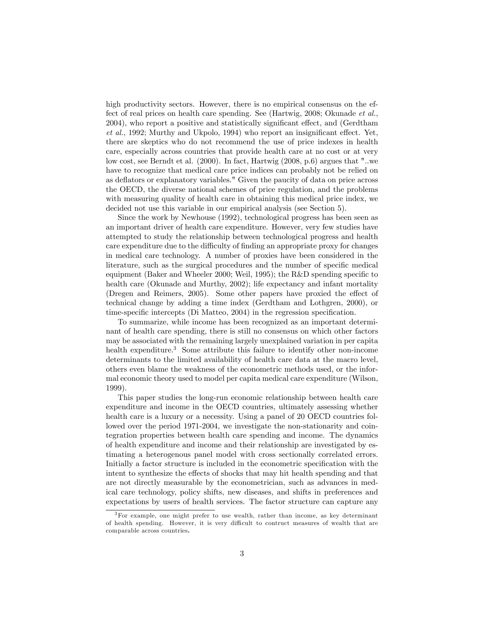high productivity sectors. However, there is no empirical consensus on the effect of real prices on health care spending. See (Hartwig, 2008; Okunade et al.,  $2004$ ), who report a positive and statistically significant effect, and (Gerdtham  $et \ al., 1992$ ; Murthy and Ukpolo, 1994) who report an insignificant effect. Yet, there are skeptics who do not recommend the use of price indexes in health care, especially across countries that provide health care at no cost or at very low cost, see Berndt et al. (2000). In fact, Hartwig (2008, p.6) argues that "..we have to recognize that medical care price indices can probably not be relied on as deflators or explanatory variables." Given the paucity of data on price across the OECD, the diverse national schemes of price regulation, and the problems with measuring quality of health care in obtaining this medical price index, we decided not use this variable in our empirical analysis (see Section 5).

Since the work by Newhouse (1992), technological progress has been seen as an important driver of health care expenditure. However, very few studies have attempted to study the relationship between technological progress and health care expenditure due to the difficulty of finding an appropriate proxy for changes in medical care technology. A number of proxies have been considered in the literature, such as the surgical procedures and the number of specific medical equipment (Baker and Wheeler 2000; Weil, 1995); the R&D spending specific to health care (Okunade and Murthy, 2002); life expectancy and infant mortality (Dregen and Reimers, 2005). Some other papers have proxied the effect of technical change by adding a time index (Gerdtham and Lothgren, 2000), or time-specific intercepts (Di Matteo, 2004) in the regression specification.

To summarize, while income has been recognized as an important determinant of health care spending, there is still no consensus on which other factors may be associated with the remaining largely unexplained variation in per capita health expenditure.<sup>3</sup> Some attribute this failure to identify other non-income determinants to the limited availability of health care data at the macro level, others even blame the weakness of the econometric methods used, or the informal economic theory used to model per capita medical care expenditure (Wilson, 1999).

This paper studies the long-run economic relationship between health care expenditure and income in the OECD countries, ultimately assessing whether health care is a luxury or a necessity. Using a panel of 20 OECD countries followed over the period 1971-2004, we investigate the non-stationarity and cointegration properties between health care spending and income. The dynamics of health expenditure and income and their relationship are investigated by estimating a heterogenous panel model with cross sectionally correlated errors. Initially a factor structure is included in the econometric specification with the intent to synthesize the effects of shocks that may hit health spending and that are not directly measurable by the econometrician, such as advances in medical care technology, policy shifts, new diseases, and shifts in preferences and expectations by users of health services. The factor structure can capture any

<sup>3</sup>For example, one might prefer to use wealth, rather than income, as key determinant of health spending. However, it is very difficult to contruct measures of wealth that are comparable across countries.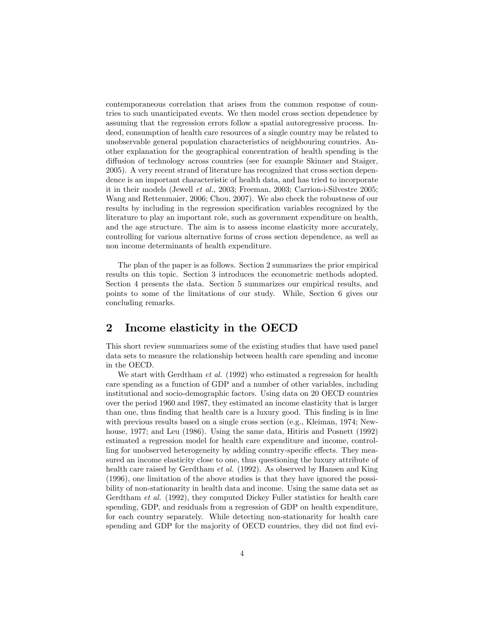contemporaneous correlation that arises from the common response of countries to such unanticipated events. We then model cross section dependence by assuming that the regression errors follow a spatial autoregressive process. Indeed, consumption of health care resources of a single country may be related to unobservable general population characteristics of neighbouring countries. Another explanation for the geographical concentration of health spending is the diffusion of technology across countries (see for example Skinner and Staiger, 2005). A very recent strand of literature has recognized that cross section dependence is an important characteristic of health data, and has tried to incorporate it in their models (Jewell et al., 2003; Freeman, 2003; Carrion-i-Silvestre 2005; Wang and Rettenmaier, 2006; Chou, 2007). We also check the robustness of our results by including in the regression specification variables recognized by the literature to play an important role, such as government expenditure on health, and the age structure. The aim is to assess income elasticity more accurately, controlling for various alternative forms of cross section dependence, as well as non income determinants of health expenditure.

The plan of the paper is as follows. Section 2 summarizes the prior empirical results on this topic. Section 3 introduces the econometric methods adopted. Section 4 presents the data. Section 5 summarizes our empirical results, and points to some of the limitations of our study. While, Section 6 gives our concluding remarks.

## 2 Income elasticity in the OECD

This short review summarizes some of the existing studies that have used panel data sets to measure the relationship between health care spending and income in the OECD.

We start with Gerdtham et al. (1992) who estimated a regression for health care spending as a function of GDP and a number of other variables, including institutional and socio-demographic factors. Using data on 20 OECD countries over the period 1960 and 1987, they estimated an income elasticity that is larger than one, thus finding that health care is a luxury good. This finding is in line with previous results based on a single cross section (e.g., Kleiman, 1974; Newhouse, 1977; and Leu (1986). Using the same data, Hitiris and Posnett (1992) estimated a regression model for health care expenditure and income, controlling for unobserved heterogeneity by adding country-specific effects. They measured an income elasticity close to one, thus questioning the luxury attribute of health care raised by Gerdtham et al. (1992). As observed by Hansen and King (1996), one limitation of the above studies is that they have ignored the possibility of non-stationarity in health data and income. Using the same data set as Gerdtham et al. (1992), they computed Dickey Fuller statistics for health care spending, GDP, and residuals from a regression of GDP on health expenditure, for each country separately. While detecting non-stationarity for health care spending and GDP for the majority of OECD countries, they did not find evi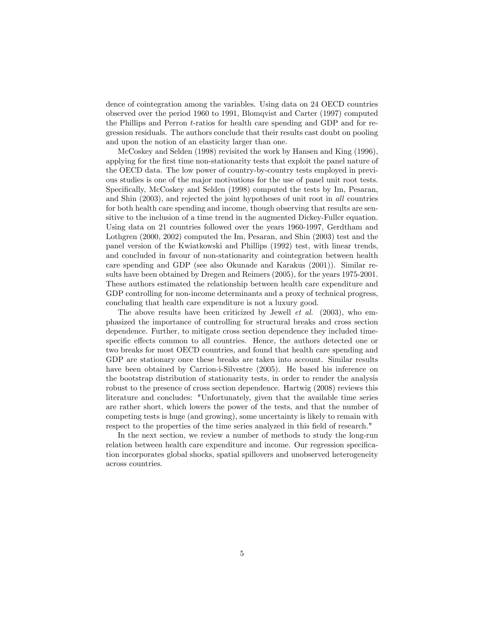dence of cointegration among the variables. Using data on 24 OECD countries observed over the period 1960 to 1991, Blomqvist and Carter (1997) computed the Phillips and Perron t-ratios for health care spending and GDP and for regression residuals. The authors conclude that their results cast doubt on pooling and upon the notion of an elasticity larger than one.

McCoskey and Selden (1998) revisited the work by Hansen and King (1996), applying for the first time non-stationarity tests that exploit the panel nature of the OECD data. The low power of country-by-country tests employed in previous studies is one of the major motivations for the use of panel unit root tests. Specifically, McCoskey and Selden (1998) computed the tests by Im, Pesaran, and Shin (2003), and rejected the joint hypotheses of unit root in all countries for both health care spending and income, though observing that results are sensitive to the inclusion of a time trend in the augmented Dickey-Fuller equation. Using data on 21 countries followed over the years 1960-1997, Gerdtham and Lothgren (2000, 2002) computed the Im, Pesaran, and Shin (2003) test and the panel version of the Kwiatkowski and Phillips (1992) test, with linear trends, and concluded in favour of non-stationarity and cointegration between health care spending and GDP (see also Okunade and Karakus (2001)). Similar results have been obtained by Dregen and Reimers (2005), for the years 1975-2001. These authors estimated the relationship between health care expenditure and GDP controlling for non-income determinants and a proxy of technical progress, concluding that health care expenditure is not a luxury good.

The above results have been criticized by Jewell  $et al.$  (2003), who emphasized the importance of controlling for structural breaks and cross section dependence. Further, to mitigate cross section dependence they included timespecific effects common to all countries. Hence, the authors detected one or two breaks for most OECD countries, and found that health care spending and GDP are stationary once these breaks are taken into account. Similar results have been obtained by Carrion-i-Silvestre (2005). He based his inference on the bootstrap distribution of stationarity tests, in order to render the analysis robust to the presence of cross section dependence. Hartwig (2008) reviews this literature and concludes: "Unfortunately, given that the available time series are rather short, which lowers the power of the tests, and that the number of competing tests is huge (and growing), some uncertainty is likely to remain with respect to the properties of the time series analyzed in this field of research."

In the next section, we review a number of methods to study the long-run relation between health care expenditure and income. Our regression specification incorporates global shocks, spatial spillovers and unobserved heterogeneity across countries.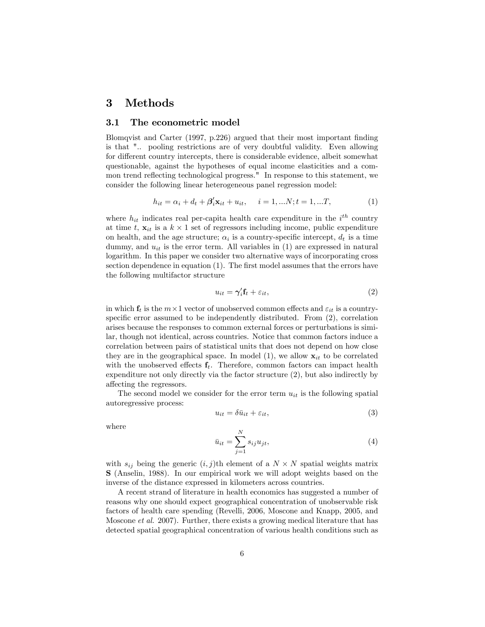## 3 Methods

#### 3.1 The econometric model

Blomqvist and Carter (1997, p.226) argued that their most important finding is that ".. pooling restrictions are of very doubtful validity. Even allowing for different country intercepts, there is considerable evidence, albeit somewhat questionable, against the hypotheses of equal income elasticities and a common trend reflecting technological progress." In response to this statement, we consider the following linear heterogeneous panel regression model:

$$
h_{it} = \alpha_i + d_t + \beta'_i \mathbf{x}_{it} + u_{it}, \quad i = 1, \dots N; t = 1, \dots T,
$$
 (1)

where  $h_{it}$  indicates real per-capita health care expenditure in the  $i^{th}$  country at time t,  $\mathbf{x}_{it}$  is a  $k \times 1$  set of regressors including income, public expenditure on health, and the age structure;  $\alpha_i$  is a country-specific intercept,  $d_t$  is a time dummy, and  $u_{it}$  is the error term. All variables in  $(1)$  are expressed in natural logarithm. In this paper we consider two alternative ways of incorporating cross section dependence in equation (1). The first model assumes that the errors have the following multifactor structure

$$
u_{it} = \gamma_i' \mathbf{f}_t + \varepsilon_{it},\tag{2}
$$

in which  $f_t$  is the  $m \times 1$  vector of unobserved common effects and  $\varepsilon_{it}$  is a countryspecific error assumed to be independently distributed. From  $(2)$ , correlation arises because the responses to common external forces or perturbations is similar, though not identical, across countries. Notice that common factors induce a correlation between pairs of statistical units that does not depend on how close they are in the geographical space. In model (1), we allow  $x_{it}$  to be correlated with the unobserved effects  $f_t$ . Therefore, common factors can impact health expenditure not only directly via the factor structure (2), but also indirectly by affecting the regressors.

The second model we consider for the error term  $u_{it}$  is the following spatial autoregressive process:

$$
u_{it} = \delta \bar{u}_{it} + \varepsilon_{it},\tag{3}
$$

where

$$
\bar{u}_{it} = \sum_{j=1}^{N} s_{ij} u_{jt},\tag{4}
$$

with  $s_{ij}$  being the generic  $(i, j)$ th element of a  $N \times N$  spatial weights matrix S (Anselin, 1988). In our empirical work we will adopt weights based on the inverse of the distance expressed in kilometers across countries.

A recent strand of literature in health economics has suggested a number of reasons why one should expect geographical concentration of unobservable risk factors of health care spending (Revelli, 2006, Moscone and Knapp, 2005, and Moscone et al. 2007). Further, there exists a growing medical literature that has detected spatial geographical concentration of various health conditions such as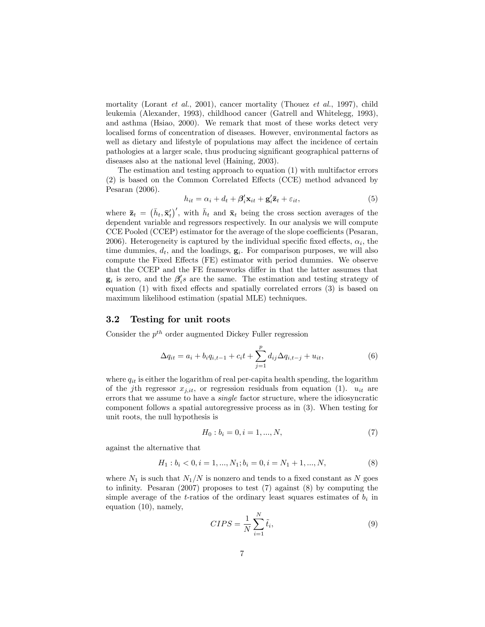mortality (Lorant et al., 2001), cancer mortality (Thouez et al., 1997), child leukemia (Alexander, 1993), childhood cancer (Gatrell and Whitelegg, 1993), and asthma (Hsiao, 2000). We remark that most of these works detect very localised forms of concentration of diseases. However, environmental factors as well as dietary and lifestyle of populations may affect the incidence of certain pathologies at a larger scale, thus producing significant geographical patterns of diseases also at the national level (Haining, 2003).

The estimation and testing approach to equation (1) with multifactor errors  $(2)$  is based on the Common Correlated Effects (CCE) method advanced by Pesaran (2006).

$$
h_{it} = \alpha_i + d_t + \beta'_i \mathbf{x}_{it} + \mathbf{g}'_i \overline{\mathbf{z}}_t + \varepsilon_{it},
$$
\n<sup>(5)</sup>

where  $\bar{\mathbf{z}}_t = (\bar{h}_t, \bar{\mathbf{x}}_t')'$ , with  $\bar{h}_t$  and  $\bar{\mathbf{x}}_t$  being the cross section averages of the dependent variable and regressors respectively. In our analysis we will compute CCE Pooled (CCEP) estimator for the average of the slope coefficients (Pesaran, 2006). Heterogeneity is captured by the individual specific fixed effects,  $\alpha_i$ , the time dummies,  $d_t$ , and the loadings,  $\mathbf{g}_i$ . For comparison purposes, we will also compute the Fixed Effects (FE) estimator with period dummies. We observe that the CCEP and the FE frameworks differ in that the latter assumes that  $\mathbf{g}_i$  is zero, and the  $\beta_i$ 's are the same. The estimation and testing strategy of equation  $(1)$  with fixed effects and spatially correlated errors  $(3)$  is based on maximum likelihood estimation (spatial MLE) techniques.

#### 3.2 Testing for unit roots

Consider the  $p^{th}$  order augmented Dickey Fuller regression

$$
\Delta q_{it} = a_i + b_i q_{i,t-1} + c_i t + \sum_{j=1}^p d_{ij} \Delta q_{i,t-j} + u_{it},
$$
\n(6)

where  $q_{it}$  is either the logarithm of real per-capita health spending, the logarithm of the jth regressor  $x_{j,it}$ , or regression residuals from equation (1).  $u_{it}$  are errors that we assume to have a single factor structure, where the idiosyncratic component follows a spatial autoregressive process as in (3). When testing for unit roots, the null hypothesis is

$$
H_0: b_i = 0, i = 1, ..., N,
$$
\n(7)

against the alternative that

$$
H_1: b_i < 0, i = 1, ..., N_1; b_i = 0, i = N_1 + 1, ..., N,
$$
\n(8)

where  $N_1$  is such that  $N_1/N$  is nonzero and tends to a fixed constant as N goes to infinity. Pesaran  $(2007)$  proposes to test  $(7)$  against  $(8)$  by computing the simple average of the  $t$ -ratios of the ordinary least squares estimates of  $b_i$  in equation (10), namely,

$$
CIPS = \frac{1}{N} \sum_{i=1}^{N} \tilde{t}_i,
$$
\n(9)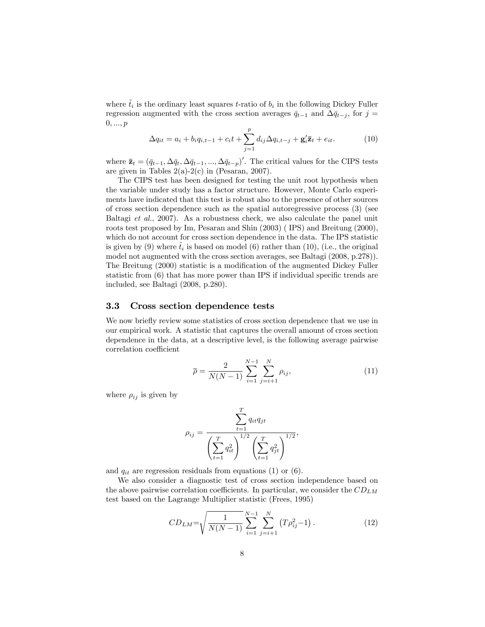where  $\tilde{t}_i$  is the ordinary least squares t-ratio of  $b_i$  in the following Dickey Fuller regression augmented with the cross section averages  $\bar{q}_{t-1}$  and  $\Delta \bar{q}_{t-j}$ , for  $j =$  $0, ..., p$ 

$$
\Delta q_{it} = a_i + b_i q_{i,t-1} + c_i t + \sum_{j=1}^p d_{ij} \Delta q_{i,t-j} + \mathbf{g}_i' \mathbf{\bar{z}}_t + e_{it}.
$$
 (10)

where  $\bar{\mathbf{z}}_t = (\bar{q}_{t-1}, \Delta \bar{q}_t, \Delta \bar{q}_{t-1}, ..., \Delta \bar{q}_{t-p})'$ . The critical values for the CIPS tests are given in Tables  $2(a)-2(c)$  in (Pesaran, 2007).

The CIPS test has been designed for testing the unit root hypothesis when the variable under study has a factor structure. However, Monte Carlo experiments have indicated that this test is robust also to the presence of other sources of cross section dependence such as the spatial autoregressive process (3) (see Baltagi et al., 2007). As a robustness check, we also calculate the panel unit roots test proposed by Im, Pesaran and Shin (2003) ( IPS) and Breitung (2000), which do not account for cross section dependence in the data. The IPS statistic is given by (9) where  $\tilde{t}_i$  is based on model (6) rather than (10), (i.e., the original model not augmented with the cross section averages, see Baltagi (2008, p.278)). The Breitung (2000) statistic is a modification of the augmented Dickey Fuller statistic from  $(6)$  that has more power than IPS if individual specific trends are included, see Baltagi (2008, p.280).

### 3.3 Cross section dependence tests

We now briefly review some statistics of cross section dependence that we use in our empirical work. A statistic that captures the overall amount of cross section dependence in the data, at a descriptive level, is the following average pairwise correlation coefficient

$$
\overline{\rho} = \frac{2}{N(N-1)} \sum_{i=1}^{N-1} \sum_{j=i+1}^{N} \rho_{ij},
$$
\n(11)

where  $\rho_{ij}$  is given by

$$
\rho_{ij} = \frac{\sum_{t=1}^{T} q_{it} q_{jt}}{\left(\sum_{t=1}^{T} q_{it}^2\right)^{1/2} \left(\sum_{t=1}^{T} q_{jt}^2\right)^{1/2}},
$$

and  $q_{it}$  are regression residuals from equations (1) or (6).

We also consider a diagnostic test of cross section independence based on the above pairwise correlation coefficients. In particular, we consider the  $CD_{LM}$ test based on the Lagrange Multiplier statistic (Frees, 1995)

$$
CD_{LM} = \sqrt{\frac{1}{N(N-1)}} \sum_{i=1}^{N-1} \sum_{j=i+1}^{N} \left( T \rho_{ij}^2 - 1 \right). \tag{12}
$$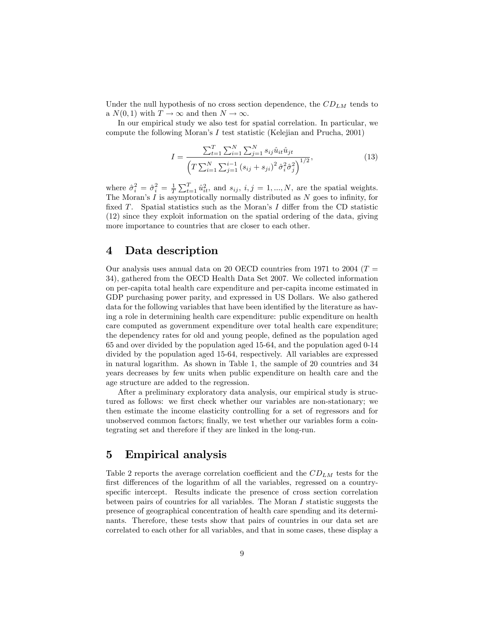Under the null hypothesis of no cross section dependence, the  $CD_{LM}$  tends to a  $N(0, 1)$  with  $T \to \infty$  and then  $N \to \infty$ .

In our empirical study we also test for spatial correlation. In particular, we compute the following Moran's  $I$  test statistic (Kelejian and Prucha, 2001)

$$
I = \frac{\sum_{t=1}^{T} \sum_{i=1}^{N} \sum_{j=1}^{N} s_{ij} \hat{u}_{it} \hat{u}_{jt}}{\left(T \sum_{i=1}^{N} \sum_{j=1}^{i-1} \left(s_{ij} + s_{ji}\right)^2 \hat{\sigma}_i^2 \hat{\sigma}_j^2\right)^{1/2}},\tag{13}
$$

where  $\hat{\sigma}_i^2 = \hat{\sigma}_i^2 = \frac{1}{T} \sum_{t=1}^T \hat{u}_{it}^2$ , and  $s_{ij}$ ,  $i, j = 1, ..., N$ , are the spatial weights. The Moran's  $I$  is asymptotically normally distributed as  $N$  goes to infinity, for fixed T. Spatial statistics such as the Moran's I differ from the CD statistic (12) since they exploit information on the spatial ordering of the data, giving more importance to countries that are closer to each other.

### 4 Data description

Our analysis uses annual data on 20 OECD countries from 1971 to 2004 ( $T =$ 34), gathered from the OECD Health Data Set 2007. We collected information on per-capita total health care expenditure and per-capita income estimated in GDP purchasing power parity, and expressed in US Dollars. We also gathered data for the following variables that have been identified by the literature as having a role in determining health care expenditure: public expenditure on health care computed as government expenditure over total health care expenditure; the dependency rates for old and young people, defined as the population aged 65 and over divided by the population aged 15-64, and the population aged 0-14 divided by the population aged 15-64, respectively. All variables are expressed in natural logarithm. As shown in Table 1, the sample of 20 countries and 34 years decreases by few units when public expenditure on health care and the age structure are added to the regression.

After a preliminary exploratory data analysis, our empirical study is structured as follows: we first check whether our variables are non-stationary; we then estimate the income elasticity controlling for a set of regressors and for unobserved common factors; finally, we test whether our variables form a cointegrating set and therefore if they are linked in the long-run.

# 5 Empirical analysis

Table 2 reports the average correlation coefficient and the  $CD_{LM}$  tests for the first differences of the logarithm of all the variables, regressed on a countryspecific intercept. Results indicate the presence of cross section correlation between pairs of countries for all variables. The Moran  $I$  statistic suggests the presence of geographical concentration of health care spending and its determinants. Therefore, these tests show that pairs of countries in our data set are correlated to each other for all variables, and that in some cases, these display a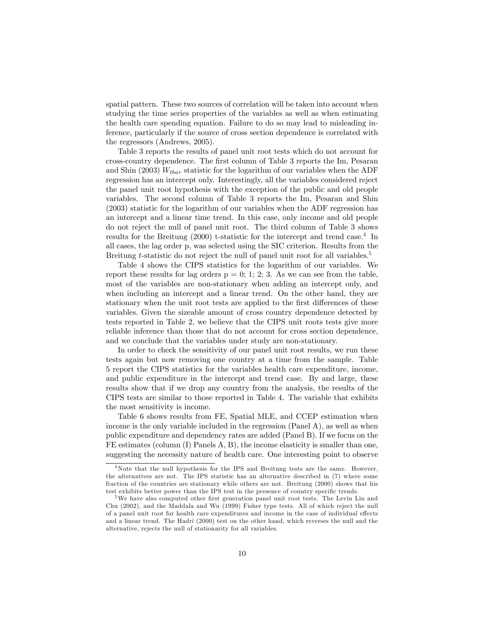spatial pattern. These two sources of correlation will be taken into account when studying the time series properties of the variables as well as when estimating the health care spending equation. Failure to do so may lead to misleading inference, particularly if the source of cross section dependence is correlated with the regressors (Andrews, 2005).

Table 3 reports the results of panel unit root tests which do not account for cross-country dependence. The first column of Table 3 reports the Im, Pesaran and Shin (2003)  $W_{\text{thar}}$  statistic for the logarithm of our variables when the ADF regression has an intercept only. Interestingly, all the variables considered reject the panel unit root hypothesis with the exception of the public and old people variables. The second column of Table 3 reports the Im, Pesaran and Shin (2003) statistic for the logarithm of our variables when the ADF regression has an intercept and a linear time trend. In this case, only income and old people do not reject the null of panel unit root. The third column of Table 3 shows results for the Breitung  $(2000)$  t-statistic for the intercept and trend case.<sup>4</sup> In all cases, the lag order p, was selected using the SIC criterion. Results from the Breitung t-statistic do not reject the null of panel unit root for all variables.<sup>5</sup>

Table 4 shows the CIPS statistics for the logarithm of our variables. We report these results for lag orders  $p = 0$ ; 1; 2; 3. As we can see from the table, most of the variables are non-stationary when adding an intercept only, and when including an intercept and a linear trend. On the other hand, they are stationary when the unit root tests are applied to the first differences of these variables. Given the sizeable amount of cross country dependence detected by tests reported in Table 2, we believe that the CIPS unit roots tests give more reliable inference than those that do not account for cross section dependence, and we conclude that the variables under study are non-stationary.

In order to check the sensitivity of our panel unit root results, we run these tests again but now removing one country at a time from the sample. Table 5 report the CIPS statistics for the variables health care expenditure, income, and public expenditure in the intercept and trend case. By and large, these results show that if we drop any country from the analysis, the results of the CIPS tests are similar to those reported in Table 4. The variable that exhibits the most sensitivity is income.

Table 6 shows results from FE, Spatial MLE, and CCEP estimation when income is the only variable included in the regression (Panel A), as well as when public expenditure and dependency rates are added (Panel B). If we focus on the FE estimates (column (I) Panels A, B), the income elasticity is smaller than one, suggesting the necessity nature of health care. One interesting point to observe

<sup>&</sup>lt;sup>4</sup>Note that the null hypothesis for the IPS and Breitung tests are the same. However, the alternatives are not. The IPS statistic has an alternative described in (7) where some fraction of the countries are stationary while others are not. Breitung (2000) shows that his test exhibits better power than the IPS test in the presence of country specific trends.

 $5$ We have also computed other first generation panel unit root tests. The Levin Lin and Chu (2002), and the Maddala and Wu (1999) Fisher type tests. All of which reject the null of a panel unit root for health care expenditures and income in the case of individual effects and a linear trend. The Hadri (2000) test on the other hand, which reverses the null and the alternative, rejects the null of stationarity for all variables.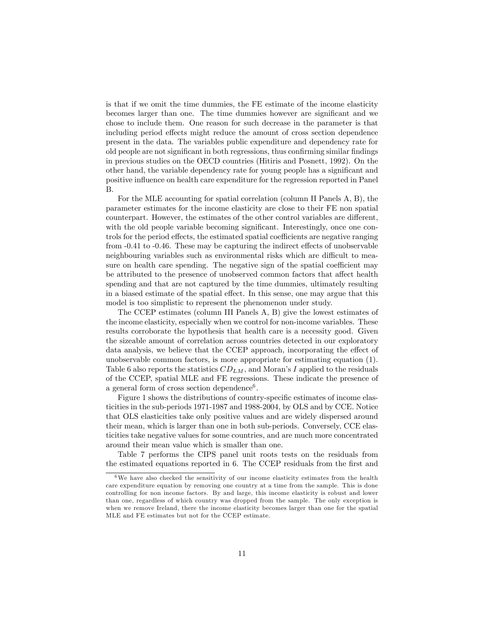is that if we omit the time dummies, the FE estimate of the income elasticity becomes larger than one. The time dummies however are significant and we chose to include them. One reason for such decrease in the parameter is that including period effects might reduce the amount of cross section dependence present in the data. The variables public expenditure and dependency rate for old people are not significant in both regressions, thus confirming similar findings in previous studies on the OECD countries (Hitiris and Posnett, 1992). On the other hand, the variable dependency rate for young people has a significant and positive ináuence on health care expenditure for the regression reported in Panel B.

For the MLE accounting for spatial correlation (column II Panels A, B), the parameter estimates for the income elasticity are close to their FE non spatial counterpart. However, the estimates of the other control variables are different, with the old people variable becoming significant. Interestingly, once one controls for the period effects, the estimated spatial coefficients are negative ranging from  $-0.41$  to  $-0.46$ . These may be capturing the indirect effects of unobservable neighbouring variables such as environmental risks which are difficult to measure on health care spending. The negative sign of the spatial coefficient may be attributed to the presence of unobserved common factors that affect health spending and that are not captured by the time dummies, ultimately resulting in a biased estimate of the spatial effect. In this sense, one may argue that this model is too simplistic to represent the phenomenon under study.

The CCEP estimates (column III Panels A, B) give the lowest estimates of the income elasticity, especially when we control for non-income variables. These results corroborate the hypothesis that health care is a necessity good. Given the sizeable amount of correlation across countries detected in our exploratory data analysis, we believe that the CCEP approach, incorporating the effect of unobservable common factors, is more appropriate for estimating equation (1). Table 6 also reports the statistics  $CD_{LM}$ , and Moran's I applied to the residuals of the CCEP, spatial MLE and FE regressions. These indicate the presence of a general form of cross section dependence<sup>6</sup>.

Figure 1 shows the distributions of country-specific estimates of income elasticities in the sub-periods 1971-1987 and 1988-2004, by OLS and by CCE. Notice that OLS elasticities take only positive values and are widely dispersed around their mean, which is larger than one in both sub-periods. Conversely, CCE elasticities take negative values for some countries, and are much more concentrated around their mean value which is smaller than one.

Table 7 performs the CIPS panel unit roots tests on the residuals from the estimated equations reported in 6. The CCEP residuals from the first and

 $6$ We have also checked the sensitivity of our income elasticity estimates from the health care expenditure equation by removing one country at a time from the sample. This is done controlling for non income factors. By and large, this income elasticity is robust and lower than one, regardless of which country was dropped from the sample. The only exception is when we remove Ireland, there the income elasticity becomes larger than one for the spatial MLE and FE estimates but not for the CCEP estimate.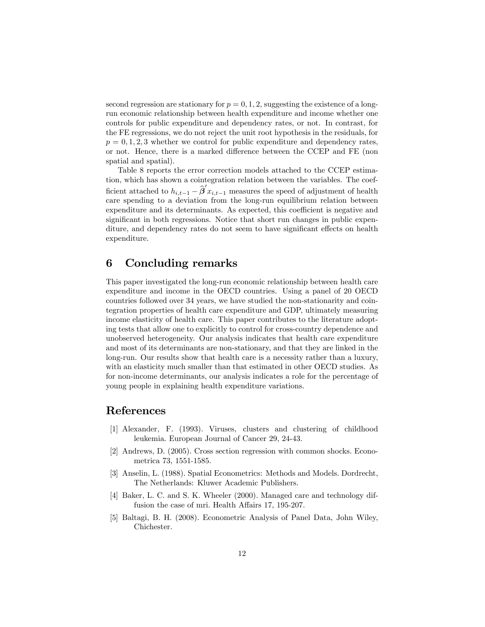second regression are stationary for  $p = 0, 1, 2$ , suggesting the existence of a longrun economic relationship between health expenditure and income whether one controls for public expenditure and dependency rates, or not. In contrast, for the FE regressions, we do not reject the unit root hypothesis in the residuals, for  $p = 0, 1, 2, 3$  whether we control for public expenditure and dependency rates, or not. Hence, there is a marked difference between the CCEP and FE (non spatial and spatial).

Table 8 reports the error correction models attached to the CCEP estimation, which has shown a cointegration relation between the variables. The coefficient attached to  $h_{i,t-1} - \hat{\beta}' x_{i,t-1}$  measures the speed of adjustment of health care spending to a deviation from the long-run equilibrium relation between expenditure and its determinants. As expected, this coefficient is negative and significant in both regressions. Notice that short run changes in public expenditure, and dependency rates do not seem to have significant effects on health expenditure.

# 6 Concluding remarks

This paper investigated the long-run economic relationship between health care expenditure and income in the OECD countries. Using a panel of 20 OECD countries followed over 34 years, we have studied the non-stationarity and cointegration properties of health care expenditure and GDP, ultimately measuring income elasticity of health care. This paper contributes to the literature adopting tests that allow one to explicitly to control for cross-country dependence and unobserved heterogeneity. Our analysis indicates that health care expenditure and most of its determinants are non-stationary, and that they are linked in the long-run. Our results show that health care is a necessity rather than a luxury, with an elasticity much smaller than that estimated in other OECD studies. As for non-income determinants, our analysis indicates a role for the percentage of young people in explaining health expenditure variations.

# References

- [1] Alexander, F. (1993). Viruses, clusters and clustering of childhood leukemia. European Journal of Cancer 29, 24-43.
- [2] Andrews, D. (2005). Cross section regression with common shocks. Econometrica 73, 1551-1585.
- [3] Anselin, L. (1988). Spatial Econometrics: Methods and Models. Dordrecht, The Netherlands: Kluwer Academic Publishers.
- [4] Baker, L. C. and S. K. Wheeler (2000). Managed care and technology diffusion the case of mri. Health Affairs  $17$ ,  $195-207$ .
- [5] Baltagi, B. H. (2008). Econometric Analysis of Panel Data, John Wiley, Chichester.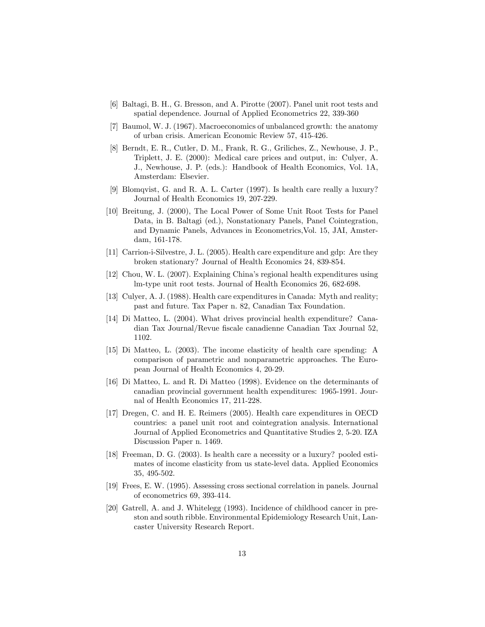- [6] Baltagi, B. H., G. Bresson, and A. Pirotte (2007). Panel unit root tests and spatial dependence. Journal of Applied Econometrics 22, 339-360
- [7] Baumol, W. J. (1967). Macroeconomics of unbalanced growth: the anatomy of urban crisis. American Economic Review 57, 415-426.
- [8] Berndt, E. R., Cutler, D. M., Frank, R. G., Griliches, Z., Newhouse, J. P., Triplett, J. E. (2000): Medical care prices and output, in: Culyer, A. J., Newhouse, J. P. (eds.): Handbook of Health Economics, Vol. 1A, Amsterdam: Elsevier.
- [9] Blomqvist, G. and R. A. L. Carter (1997). Is health care really a luxury? Journal of Health Economics 19, 207-229.
- [10] Breitung, J. (2000), The Local Power of Some Unit Root Tests for Panel Data, in B. Baltagi (ed.), Nonstationary Panels, Panel Cointegration, and Dynamic Panels, Advances in Econometrics,Vol. 15, JAI, Amsterdam, 161-178.
- [11] Carrion-i-Silvestre, J. L. (2005). Health care expenditure and gdp: Are they broken stationary? Journal of Health Economics 24, 839-854.
- [12] Chou, W. L. (2007). Explaining Chinaís regional health expenditures using lm-type unit root tests. Journal of Health Economics 26, 682-698.
- [13] Culyer, A. J. (1988). Health care expenditures in Canada: Myth and reality; past and future. Tax Paper n. 82, Canadian Tax Foundation.
- [14] Di Matteo, L. (2004). What drives provincial health expenditure? Canadian Tax Journal/Revue fiscale canadienne Canadian Tax Journal 52, 1102.
- [15] Di Matteo, L. (2003). The income elasticity of health care spending: A comparison of parametric and nonparametric approaches. The European Journal of Health Economics 4, 20-29.
- [16] Di Matteo, L. and R. Di Matteo (1998). Evidence on the determinants of canadian provincial government health expenditures: 1965-1991. Journal of Health Economics 17, 211-228.
- [17] Dregen, C. and H. E. Reimers (2005). Health care expenditures in OECD countries: a panel unit root and cointegration analysis. International Journal of Applied Econometrics and Quantitative Studies 2, 5-20. IZA Discussion Paper n. 1469.
- [18] Freeman, D. G. (2003). Is health care a necessity or a luxury? pooled estimates of income elasticity from us state-level data. Applied Economics 35, 495-502.
- [19] Frees, E. W. (1995). Assessing cross sectional correlation in panels. Journal of econometrics 69, 393-414.
- [20] Gatrell, A. and J. Whitelegg (1993). Incidence of childhood cancer in preston and south ribble. Environmental Epidemiology Research Unit, Lancaster University Research Report.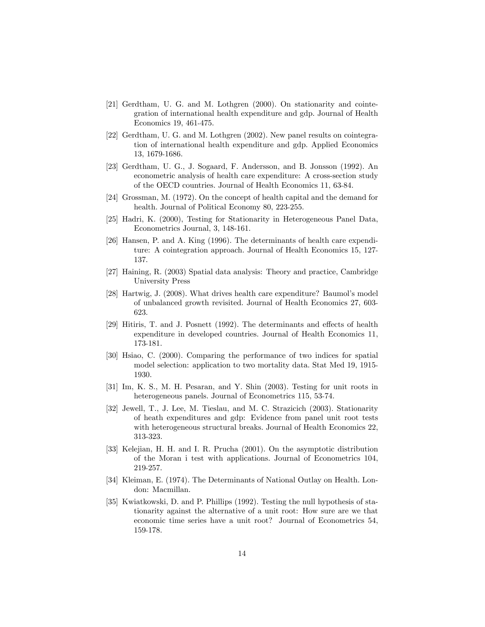- [21] Gerdtham, U. G. and M. Lothgren (2000). On stationarity and cointegration of international health expenditure and gdp. Journal of Health Economics 19, 461-475.
- [22] Gerdtham, U. G. and M. Lothgren (2002). New panel results on cointegration of international health expenditure and gdp. Applied Economics 13, 1679-1686.
- [23] Gerdtham, U. G., J. Sogaard, F. Andersson, and B. Jonsson (1992). An econometric analysis of health care expenditure: A cross-section study of the OECD countries. Journal of Health Economics 11, 63-84.
- [24] Grossman, M. (1972). On the concept of health capital and the demand for health. Journal of Political Economy 80, 223-255.
- [25] Hadri, K. (2000), Testing for Stationarity in Heterogeneous Panel Data, Econometrics Journal, 3, 148-161.
- [26] Hansen, P. and A. King (1996). The determinants of health care expenditure: A cointegration approach. Journal of Health Economics 15, 127- 137.
- [27] Haining, R. (2003) Spatial data analysis: Theory and practice, Cambridge University Press
- [28] Hartwig, J. (2008). What drives health care expenditure? Baumol's model of unbalanced growth revisited. Journal of Health Economics 27, 603- 623.
- [29] Hitiris, T. and J. Posnett (1992). The determinants and effects of health expenditure in developed countries. Journal of Health Economics 11, 173-181.
- [30] Hsiao, C. (2000). Comparing the performance of two indices for spatial model selection: application to two mortality data. Stat Med 19, 1915- 1930.
- [31] Im, K. S., M. H. Pesaran, and Y. Shin (2003). Testing for unit roots in heterogeneous panels. Journal of Econometrics 115, 53-74.
- [32] Jewell, T., J. Lee, M. Tieslau, and M. C. Strazicich (2003). Stationarity of heath expenditures and gdp: Evidence from panel unit root tests with heterogeneous structural breaks. Journal of Health Economics 22, 313-323.
- [33] Kelejian, H. H. and I. R. Prucha (2001). On the asymptotic distribution of the Moran i test with applications. Journal of Econometrics 104, 219-257.
- [34] Kleiman, E. (1974). The Determinants of National Outlay on Health. London: Macmillan.
- [35] Kwiatkowski, D. and P. Phillips (1992). Testing the null hypothesis of stationarity against the alternative of a unit root: How sure are we that economic time series have a unit root? Journal of Econometrics 54, 159-178.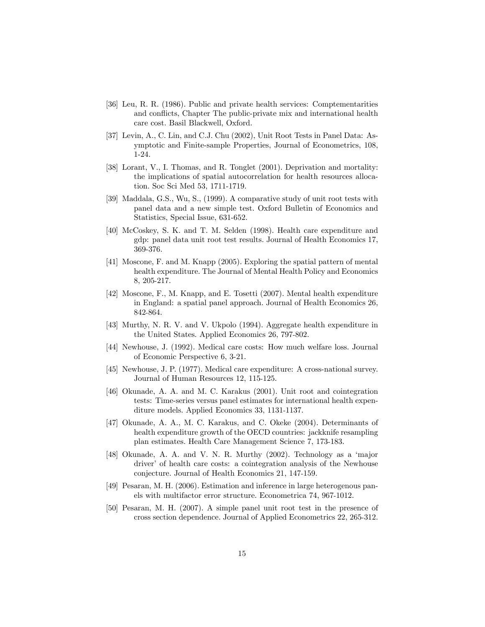- [36] Leu, R. R. (1986). Public and private health services: Comptementarities and conflicts, Chapter The public-private mix and international health care cost. Basil Blackwell, Oxford.
- [37] Levin, A., C. Lin, and C.J. Chu (2002), Unit Root Tests in Panel Data: Asymptotic and Finite-sample Properties, Journal of Econometrics, 108, 1-24.
- [38] Lorant, V., I. Thomas, and R. Tonglet (2001). Deprivation and mortality: the implications of spatial autocorrelation for health resources allocation. Soc Sci Med 53, 1711-1719.
- [39] Maddala, G.S., Wu, S., (1999). A comparative study of unit root tests with panel data and a new simple test. Oxford Bulletin of Economics and Statistics, Special Issue, 631-652.
- [40] McCoskey, S. K. and T. M. Selden (1998). Health care expenditure and gdp: panel data unit root test results. Journal of Health Economics 17, 369-376.
- [41] Moscone, F. and M. Knapp (2005). Exploring the spatial pattern of mental health expenditure. The Journal of Mental Health Policy and Economics 8, 205-217.
- [42] Moscone, F., M. Knapp, and E. Tosetti (2007). Mental health expenditure in England: a spatial panel approach. Journal of Health Economics 26, 842-864.
- [43] Murthy, N. R. V. and V. Ukpolo (1994). Aggregate health expenditure in the United States. Applied Economics 26, 797-802.
- [44] Newhouse, J. (1992). Medical care costs: How much welfare loss. Journal of Economic Perspective 6, 3-21.
- [45] Newhouse, J. P. (1977). Medical care expenditure: A cross-national survey. Journal of Human Resources 12, 115-125.
- [46] Okunade, A. A. and M. C. Karakus (2001). Unit root and cointegration tests: Time-series versus panel estimates for international health expenditure models. Applied Economics 33, 1131-1137.
- [47] Okunade, A. A., M. C. Karakus, and C. Okeke (2004). Determinants of health expenditure growth of the OECD countries: jackknife resampling plan estimates. Health Care Management Science 7, 173-183.
- [48] Okunade, A. A. and V. N. R. Murthy (2002). Technology as a 'major driver' of health care costs: a cointegration analysis of the Newhouse conjecture. Journal of Health Economics 21, 147-159.
- [49] Pesaran, M. H. (2006). Estimation and inference in large heterogenous panels with multifactor error structure. Econometrica 74, 967-1012.
- [50] Pesaran, M. H. (2007). A simple panel unit root test in the presence of cross section dependence. Journal of Applied Econometrics 22, 265-312.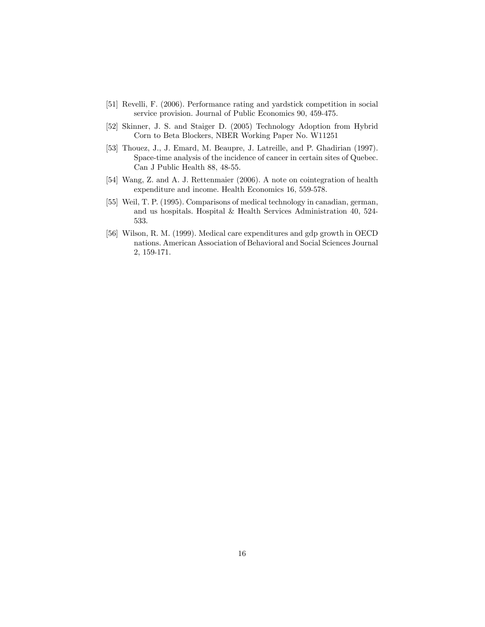- [51] Revelli, F. (2006). Performance rating and yardstick competition in social service provision. Journal of Public Economics 90, 459-475.
- [52] Skinner, J. S. and Staiger D. (2005) Technology Adoption from Hybrid Corn to Beta Blockers, NBER Working Paper No. W11251
- [53] Thouez, J., J. Emard, M. Beaupre, J. Latreille, and P. Ghadirian (1997). Space-time analysis of the incidence of cancer in certain sites of Quebec. Can J Public Health 88, 48-55.
- [54] Wang, Z. and A. J. Rettenmaier (2006). A note on cointegration of health expenditure and income. Health Economics 16, 559-578.
- [55] Weil, T. P. (1995). Comparisons of medical technology in canadian, german, and us hospitals. Hospital & Health Services Administration 40, 524- 533.
- [56] Wilson, R. M. (1999). Medical care expenditures and gdp growth in OECD nations. American Association of Behavioral and Social Sciences Journal 2, 159-171.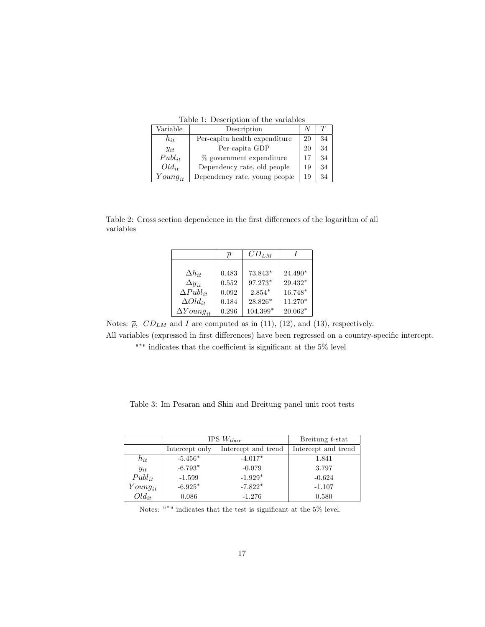Table 1: Description of the variables

| Variable     | Description                   |    |    |
|--------------|-------------------------------|----|----|
| $h_{it}$     | Per-capita health expenditure | 20 | 34 |
| $y_{it}$     | Per-capita GDP                | 20 | 34 |
| $Publ_{it}$  | % government expenditure      | 17 | 34 |
| $Old_{it}$   | Dependency rate, old people   | 19 | 34 |
| $Young_{it}$ | Dependency rate, young people | 19 | 34 |

Table 2: Cross section dependence in the first differences of the logarithm of all variables

|                     |       | $CD_{LM}$  |           |
|---------------------|-------|------------|-----------|
|                     |       |            |           |
| $\Delta h_{it}$     | 0.483 | 73.843*    | 24.490*   |
| $\Delta y_{it}$     | 0.552 | 97.273*    | 29.432*   |
| $\Delta Publ_{it}$  | 0.092 | $2.854*$   | 16.748*   |
| $\Delta Old_{it}$   | 0.184 | 28.826*    | 11.270*   |
| $\Delta Young_{it}$ | 0.296 | $104.399*$ | $20.062*$ |

Notes:  $\bar{\rho}$ ,  $CD_{LM}$  and I are computed as in (11), (12), and (13), respectively.

All variables (expressed in first differences) have been regressed on a country-specific intercept.

"\*" indicates that the coefficient is significant at the  $5\%$  level

Table 3: Im Pesaran and Shin and Breitung panel unit root tests

|              |                | IPS $W_{\text{thar}}$ | Breitung t-stat     |
|--------------|----------------|-----------------------|---------------------|
|              | Intercept only | Intercept and trend   | Intercept and trend |
| $h_{it}$     | $-5.456*$      | $-4.017*$             | 1.841               |
| $y_{it}$     | $-6.793*$      | $-0.079$              | 3.797               |
| $Publ_{it}$  | $-1.599$       | $-1.929*$             | $-0.624$            |
| $Young_{it}$ | $-6.925*$      | $-7.822*$             | $-1.107$            |
| $Old_{it}$   | 0.086          | $-1.276$              | 0.580               |

Notes:  $"$  indicates that the test is significant at the 5% level.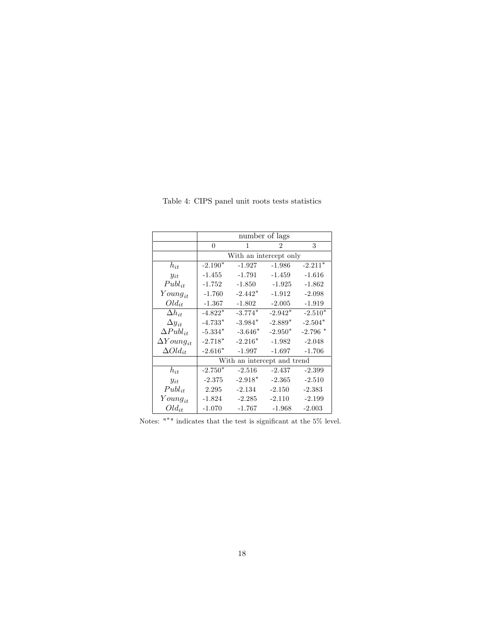|                     |           |                             | number of lags |            |
|---------------------|-----------|-----------------------------|----------------|------------|
|                     | $\theta$  | 1                           | 2              | 3          |
|                     |           | With an intercept only      |                |            |
| $h_{it}$            | $-2.190*$ | $-1.927$                    | $-1.986$       | $-2.211*$  |
| $y_{it}$            | $-1.455$  | $-1.791$                    | $-1.459$       | $-1.616$   |
| $Publ_{it}$         | $-1.752$  | $-1.850$                    | $-1.925$       | $-1.862$   |
| $Young_{it}$        | $-1.760$  | $-2.442*$                   | $-1.912$       | $-2.098$   |
| $Old_{it}$          | $-1.367$  | $-1.802$                    | $-2.005$       | $-1.919$   |
| $\Delta h_{it}$     | $-4.822*$ | $-3.774*$                   | $-2.942*$      | $-2.510*$  |
| $\Delta y_{it}$     | $-4.733*$ | $-3.984*$                   | $-2.889*$      | $-2.504*$  |
| $\Delta Publ_{it}$  | $-5.334*$ | $-3.646*$                   | $-2.950*$      | $-2.796$ * |
| $\Delta Young_{it}$ | $-2.718*$ | $-2.216*$                   | $-1.982$       | $-2.048$   |
| $\Delta Old_{it}$   | $-2.616*$ | $-1.997$                    | $-1.697$       | $-1.706$   |
|                     |           | With an intercept and trend |                |            |
| $h_{it}$            | $-2.750*$ | $-2.516$                    | $-2.437$       | $-2.399$   |
| $y_{it}$            | $-2.375$  | $-2.918*$                   | $-2.365$       | $-2.510$   |
| $Publ_{it}$         | 2.295     | $-2.134$                    | $-2.150$       | $-2.383$   |
| $Young_{it}$        | $-1.824$  | $-2.285$                    | $-2.110$       | $-2.199$   |
| $Old_{it}$          | $-1.070$  | $-1.767$                    | $-1.968$       | $-2.003$   |

Table 4: CIPS panel unit roots tests statistics

Notes:  $"$  indicates that the test is significant at the 5% level.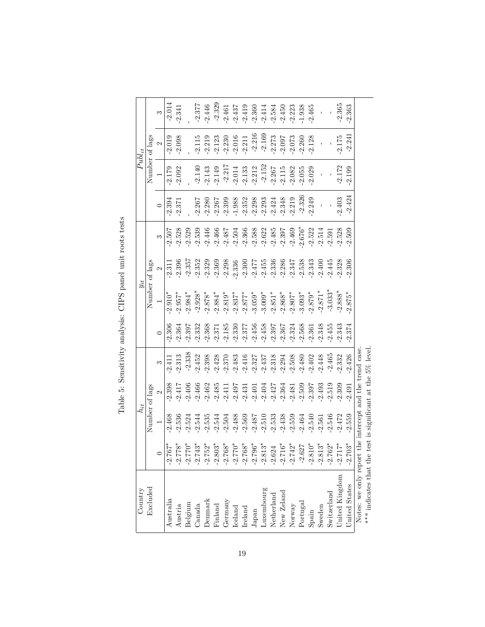| Country                                                       |                                        | $h_{it}$                         |                |          |          |                |          |           |              | $Publ_{it}$              |          |          |
|---------------------------------------------------------------|----------------------------------------|----------------------------------|----------------|----------|----------|----------------|----------|-----------|--------------|--------------------------|----------|----------|
| Excluded                                                      |                                        | Number of lags                   |                |          |          | Number of lags |          |           |              | Number of lags           |          |          |
|                                                               |                                        | $\overline{\phantom{0}}$         | $\mathfrak{g}$ |          | $\circ$  |                | 2        |           | $\circ$      | $\overline{\phantom{0}}$ | $\sim$   | S        |
| Australia                                                     | $-2.767*$                              | $-2.468$                         | $-2.398$       | $-2.411$ | $-2.306$ | $-2.910*$      | $-2.311$ | $-2.507$  | $-2.394$     | $-2.179$                 | $-2.019$ | $-2.014$ |
| Austria                                                       | $-2.778*$                              | $-2.536$                         | $-2.417$       | $-2.313$ | $-2.364$ | $-2.957$ *     | $-2.396$ | $-2.528$  | $-2.371$     | $-2.092$                 | $-2.098$ | $-2.341$ |
| Belgium                                                       |                                        | $-2.524$                         | $-2.406$       | $-2.338$ | $-2.397$ | $-2.984*$      | $-2.357$ | $-2.529$  |              |                          |          |          |
| Canada                                                        | $-2.770*$<br>$-2.743*$                 | $-2.544$                         | $-2.466$       | $-2.452$ | $-2.332$ | $-2.928*$      | $-2.352$ | $-2.539$  | $-2.267$     | $-2.140$                 | $-2.115$ | $-2.377$ |
| Denmark                                                       | $-2.752$ <sup>*</sup>                  | $-2.535$                         | $-2.462$       | $-2.398$ | $-2.368$ | $-2.878*$      | $-2.329$ | $-2.446$  | $-2.280$     | $-2.143$                 | $-2.219$ | $-2.446$ |
| Finland                                                       |                                        | $-2.544$                         | $-2.485$       | $-2.428$ | $-2.371$ | $-2.884*$      | $-2.369$ | $-2.466$  | $-2.267$     | $-2.149$                 | $-2.123$ | $-2.329$ |
| Germany                                                       | $-2.768*$                              | $-2.504$                         | $-2.411$       | $-2.370$ | $-2.185$ | $-2.819*$      | $-2.298$ | $-2.487$  | $-2.399$     | $-2.217$                 | $-2.230$ | $-2.461$ |
| Iceland                                                       |                                        | $-2.488$                         | $-2.497$       | $-2.483$ | $-2.330$ | $-2.837*$      | $-2.336$ | $-2.504$  | $-1.988$     | $-2.014$                 | $-2.016$ | $-2.437$ |
| Ireland                                                       |                                        | $-2.569$                         | $-2.431$       | $-2.416$ | $-2.377$ | $-2.877*$      | $-2.300$ | $-2.366$  | $-2.352$     | $-2.133$                 | $-2.211$ | $-2.419$ |
| Japan                                                         | $-2.770^*$<br>$-2.768^*$<br>$-2.796^*$ | $-2.487$                         | $-2.401$       | $-2.327$ | $-2.456$ | $-3.059*$      | $-2.477$ | $-2.588$  | $-2.298$     | $-2.212$                 | $-2.216$ | $-2.360$ |
| Luxembourg                                                    | $-2.813*$                              | $-2.510$                         | $-2.404$       | $-2.437$ | $-2.458$ | $-3.009*$      | $-2.455$ | $-2.622$  | $-2.293$     | $-2.152$                 | $-2.169$ | $-2.414$ |
| Netherland                                                    | $-2.624$                               | $-2.533$                         | $-2.427$       | $-2.318$ | $-2.397$ | $-2.851*$      | $-2.336$ | $-2.485$  | $-2.424$     | $-2.267$                 | $-2.273$ | $-2.584$ |
| New Zeland                                                    | $-2.716*$                              | $-2.438$                         | $-2.364$       | $-2.294$ | $-2.367$ | $-2.868*$      | $-2.286$ | $-2.397$  | $-2.348$     | $-2.115$                 | $-2.097$ | $-2.450$ |
| Norway                                                        | $-2.742*$                              | $-2.559$                         | $-2.481$       | $-2.508$ | $-2.324$ | $-2.807*$      | $-2.347$ | $-2.469$  | $-2.219$     | $-2.082$                 | $-2.073$ | $-2.223$ |
| Portugal                                                      | $-2.627$                               | $-2.464$                         | $-2.509$       | $-2.480$ | $-2.568$ | $-3.093*$      | $-2.538$ | $-2.676*$ | $-2.326$     | $-2.055$                 | $-2.260$ | $-1.938$ |
| Spain                                                         | $-2.810*$                              | $-2.540$                         | $-2.397$       | $-2.402$ | $-2.361$ | $-2.879*$      | $-2.343$ | $-2.522$  | $-2.249$     | $-2.029$                 | $-2.128$ | $-2.465$ |
| Sweden                                                        | $-2.813*$                              | $-2.561$                         | $-2.493$       | $-2.448$ | $-2.348$ | $-2.871*$      | $-2.400$ | $-2.514$  | $\mathbf{I}$ | ï                        |          |          |
| Switzerland                                                   | $-2.762*$                              | $-2.546$                         | $-2.519$       | $-2.465$ | $-2.455$ | $-3.033*$      | $-2.445$ | $-2.591$  |              |                          |          |          |
| United Kingdom                                                | $-2.717*$                              | $-2.472$                         | $-2.309$       | $-2.332$ | $-2.343$ | $-2.888*$      | 2.328    | $-2.528$  | $-2.403$     | $-2.172$                 | $-2.175$ | $-2.365$ |
| United States                                                 | $-2.703*$                              | $-2.559$                         | $-2.491$       | $-2.426$ | $-2.374$ | $-2.875*$      | $-2.306$ | $-2.509$  | $-2.424$     | $-2.199$                 | $-2.241$ | $-2.363$ |
| Notes: we only report                                         |                                        | the intercept and the trend case |                |          |          |                |          |           |              |                          |          |          |
| "*" indicates that the test is significant at the $5\%$ level |                                        |                                  |                |          |          |                |          |           |              |                          |          |          |

Table 5: Sensitivity analysis: CIPS panel unit roots tests Table 5: Sensitivity analysis: CIPS panel unit roots tests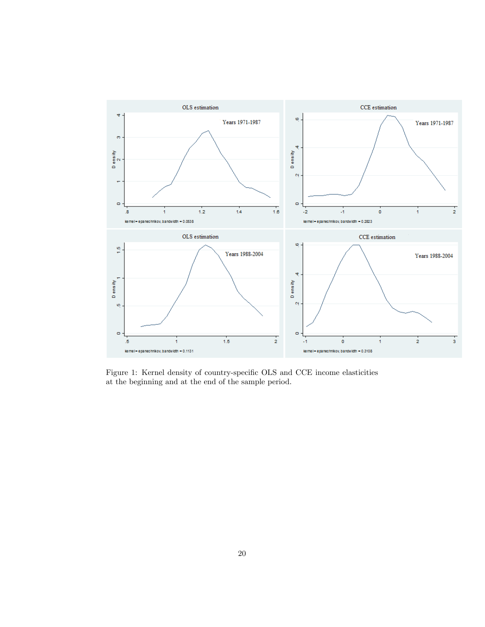

Figure 1: Kernel density of country-specific OLS and CCE income elasticities at the beginning and at the end of the sample period.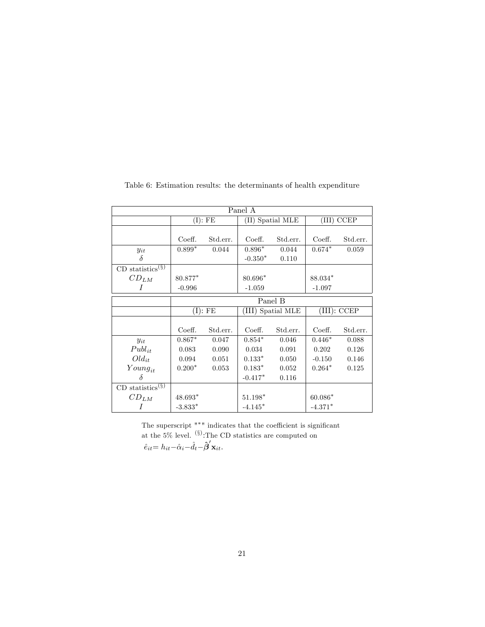|                                                     |           |          | Panel A   |                  |           |             |
|-----------------------------------------------------|-----------|----------|-----------|------------------|-----------|-------------|
|                                                     |           | (I): FE  |           | (II) Spatial MLE |           | (III) CCEP  |
|                                                     |           |          |           |                  |           |             |
|                                                     | Coeff.    | Std.err. | Coeff.    | Std.err.         | Coeff.    | Std.err.    |
| $y_{it}$                                            | $0.899*$  | 0.044    | $0.896*$  | 0.044            | $0.674*$  | 0.059       |
| δ                                                   |           |          | $-0.350*$ | 0.110            |           |             |
| CD statistics <sup><math>(\S)</math></sup>          |           |          |           |                  |           |             |
| $CD_{LM}$                                           | 80.877*   |          | 80.696*   |                  | 88.034*   |             |
| Ι                                                   | $-0.996$  |          | $-1.059$  |                  | $-1.097$  |             |
|                                                     |           |          |           | Panel B          |           |             |
|                                                     |           | (I): FE  | (III)     | Spatial MLE      |           | (III): CCEP |
|                                                     |           |          |           |                  |           |             |
|                                                     | Coeff.    | Std.err. | Coeff.    | Std.err.         | Coeff.    | Std.err.    |
| $y_{it}$                                            | $0.867*$  | 0.047    | $0.854*$  | 0.046            | $0.446*$  | 0.088       |
| $Publ_{it}$                                         | 0.083     | 0.090    | 0.034     | 0.091            | 0.202     | 0.126       |
| $Old_{it}$                                          | 0.094     | 0.051    | $0.133*$  | 0.050            | $-0.150$  | 0.146       |
| $Young_{it}$                                        | $0.200*$  | 0.053    | $0.183*$  | 0.052            | $0.264*$  | 0.125       |
| $\delta$                                            |           |          | $-0.417*$ | 0.116            |           |             |
| CD statistics <sup><math>\$\binom{\\$}</math></sup> |           |          |           |                  |           |             |
| $CD_{LM}$                                           | $48.693*$ |          | 51.198*   |                  | $60.086*$ |             |
| I                                                   | $-3.833*$ |          | $-4.145*$ |                  | $-4.371*$ |             |

Table 6: Estimation results: the determinants of health expenditure

The superscript "\*" indicates that the coefficient is significant at the  $5\%$  level.  $^{(\S)}$ : The CD statistics are computed on  $\hat{e}_{it} = h_{it} - \hat{\alpha}_i - \hat{d}_t - \hat{\boldsymbol{\beta}}'\mathbf{x}_{it}.$